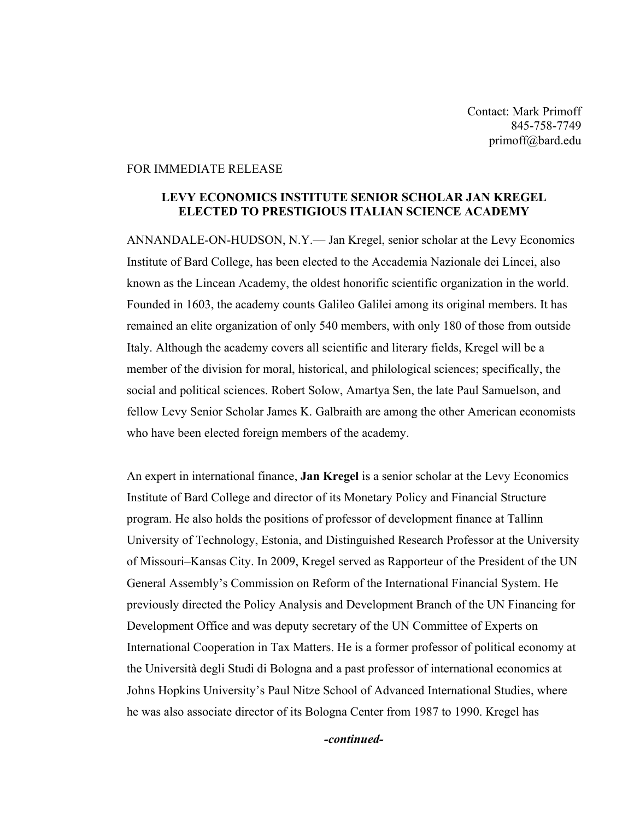Contact: Mark Primoff 845-758-7749 primoff@bard.edu

## FOR IMMEDIATE RELEASE

## **LEVY ECONOMICS INSTITUTE SENIOR SCHOLAR JAN KREGEL ELECTED TO PRESTIGIOUS ITALIAN SCIENCE ACADEMY**

ANNANDALE-ON-HUDSON, N.Y.— Jan Kregel, senior scholar at the Levy Economics Institute of Bard College, has been elected to the Accademia Nazionale dei Lincei, also known as the Lincean Academy, the oldest honorific scientific organization in the world. Founded in 1603, the academy counts Galileo Galilei among its original members. It has remained an elite organization of only 540 members, with only 180 of those from outside Italy. Although the academy covers all scientific and literary fields, Kregel will be a member of the division for moral, historical, and philological sciences; specifically, the social and political sciences. Robert Solow, Amartya Sen, the late Paul Samuelson, and fellow Levy Senior Scholar James K. Galbraith are among the other American economists who have been elected foreign members of the academy.

An expert in international finance, **Jan Kregel** is a senior scholar at the Levy Economics Institute of Bard College and director of its Monetary Policy and Financial Structure program. He also holds the positions of professor of development finance at Tallinn University of Technology, Estonia, and Distinguished Research Professor at the University of Missouri–Kansas City. In 2009, Kregel served as Rapporteur of the President of the UN General Assembly's Commission on Reform of the International Financial System. He previously directed the Policy Analysis and Development Branch of the UN Financing for Development Office and was deputy secretary of the UN Committee of Experts on International Cooperation in Tax Matters. He is a former professor of political economy at the Università degli Studi di Bologna and a past professor of international economics at Johns Hopkins University's Paul Nitze School of Advanced International Studies, where he was also associate director of its Bologna Center from 1987 to 1990. Kregel has

*-continued-*